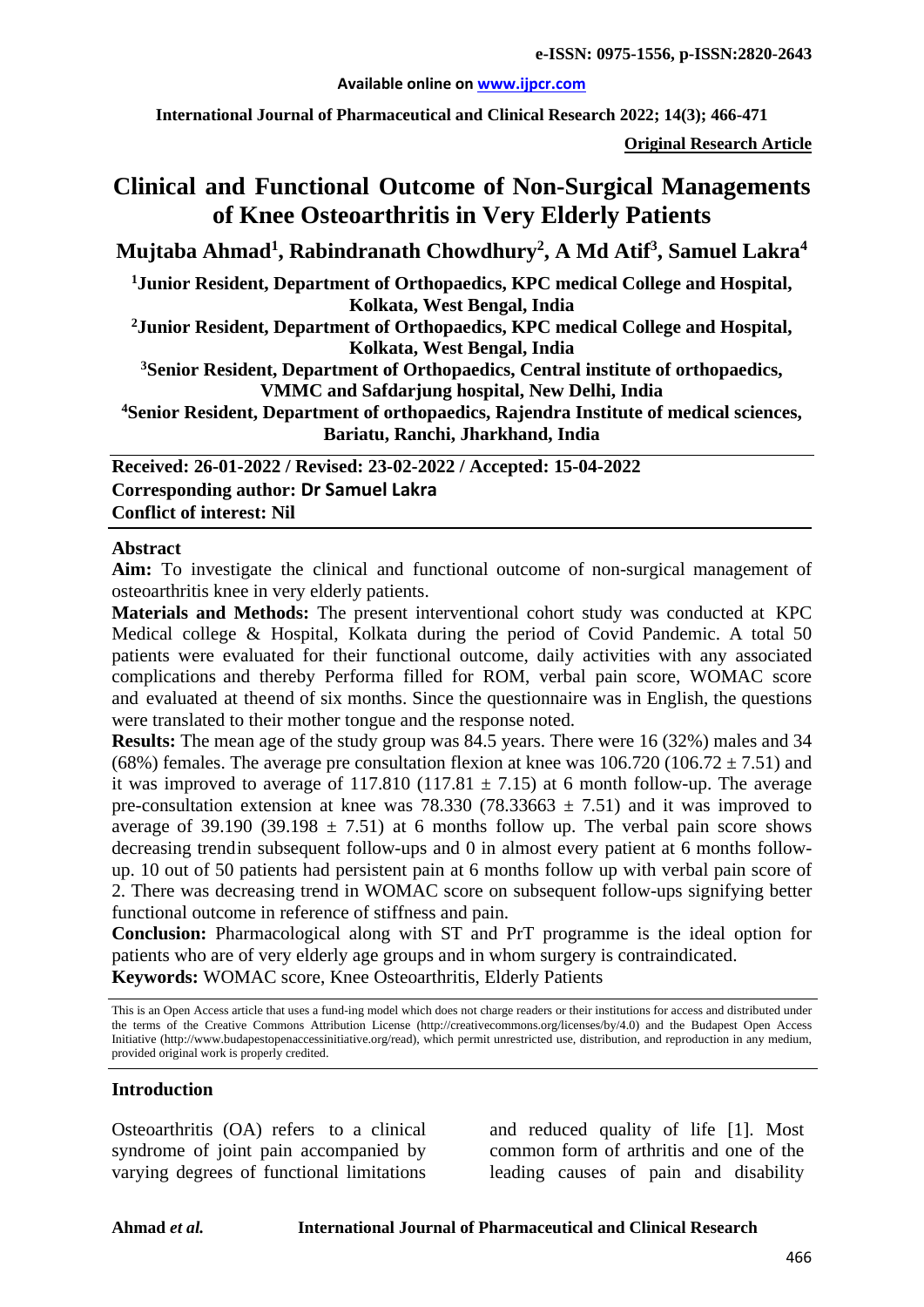#### **Available online on [www.ijpcr.com](http://www.ijpcr.com/)**

**International Journal of Pharmaceutical and Clinical Research 2022; 14(3); 466-471**

**Original Research Article**

# **Clinical and Functional Outcome of Non-Surgical Managements of Knee Osteoarthritis in Very Elderly Patients**

**Mujtaba Ahmad<sup>1</sup> , Rabindranath Chowdhury<sup>2</sup> , A Md Atif<sup>3</sup> , Samuel Lakra<sup>4</sup>**

**1Junior Resident, Department of Orthopaedics, KPC medical College and Hospital, Kolkata, West Bengal, India**

**2Junior Resident, Department of Orthopaedics, KPC medical College and Hospital, Kolkata, West Bengal, India**

**3Senior Resident, Department of Orthopaedics, Central institute of orthopaedics, VMMC and Safdarjung hospital, New Delhi, India**

**4Senior Resident, Department of orthopaedics, Rajendra Institute of medical sciences, Bariatu, Ranchi, Jharkhand, India**

**Received: 26-01-2022 / Revised: 23-02-2022 / Accepted: 15-04-2022 Corresponding author: Dr Samuel Lakra Conflict of interest: Nil**

#### **Abstract**

**Aim:** To investigate the clinical and functional outcome of non-surgical management of osteoarthritis knee in very elderly patients.

**Materials and Methods:** The present interventional cohort study was conducted at KPC Medical college & Hospital, Kolkata during the period of Covid Pandemic. A total 50 patients were evaluated for their functional outcome, daily activities with any associated complications and thereby Performa filled for ROM, verbal pain score, WOMAC score and evaluated at theend of six months. Since the questionnaire was in English, the questions were translated to their mother tongue and the response noted.

**Results:** The mean age of the study group was 84.5 years. There were 16 (32%) males and 34 (68%) females. The average pre consultation flexion at knee was  $106.720$  (106.72  $\pm$  7.51) and it was improved to average of 117.810 (117.81  $\pm$  7.15) at 6 month follow-up. The average pre-consultation extension at knee was 78.330 (78.33663  $\pm$  7.51) and it was improved to average of 39.190 (39.198  $\pm$  7.51) at 6 months follow up. The verbal pain score shows decreasing trendin subsequent follow-ups and 0 in almost every patient at 6 months followup. 10 out of 50 patients had persistent pain at 6 months follow up with verbal pain score of 2. There was decreasing trend in WOMAC score on subsequent follow-ups signifying better functional outcome in reference of stiffness and pain.

**Conclusion:** Pharmacological along with ST and PrT programme is the ideal option for patients who are of very elderly age groups and in whom surgery is contraindicated. **Keywords:** WOMAC score, Knee Osteoarthritis, Elderly Patients

This is an Open Access article that uses a fund-ing model which does not charge readers or their institutions for access and distributed under the terms of the Creative Commons Attribution License (http://creativecommons.org/licenses/by/4.0) and the Budapest Open Access Initiative (http://www.budapestopenaccessinitiative.org/read), which permit unrestricted use, distribution, and reproduction in any medium, provided original work is properly credited.

#### **Introduction**

Osteoarthritis (OA) refers to a clinical syndrome of joint pain accompanied by varying degrees of functional limitations and reduced quality of life [1]. Most common form of arthritis and one of the leading causes of pain and disability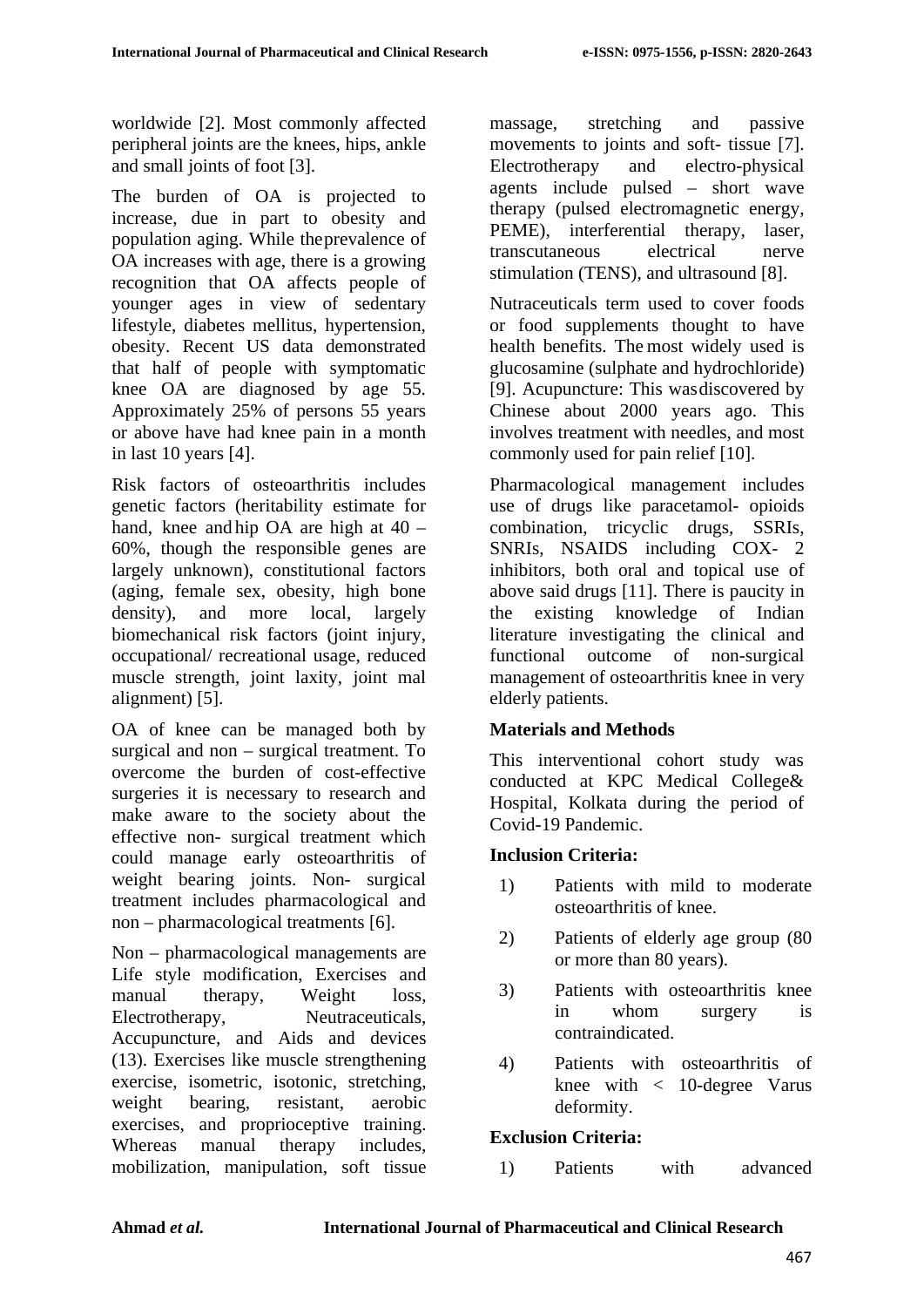worldwide [2]. Most commonly affected peripheral joints are the knees, hips, ankle and small joints of foot [3].

The burden of OA is projected to increase, due in part to obesity and population aging. While theprevalence of OA increases with age, there is a growing recognition that OA affects people of younger ages in view of sedentary lifestyle, diabetes mellitus, hypertension, obesity. Recent US data demonstrated that half of people with symptomatic knee OA are diagnosed by age 55. Approximately 25% of persons 55 years or above have had knee pain in a month in last 10 years [4].

Risk factors of osteoarthritis includes genetic factors (heritability estimate for hand, knee and hip OA are high at 40 – 60%, though the responsible genes are largely unknown), constitutional factors (aging, female sex, obesity, high bone density), and more local, largely biomechanical risk factors (joint injury, occupational/ recreational usage, reduced muscle strength, joint laxity, joint mal alignment) [5].

OA of knee can be managed both by surgical and non – surgical treatment. To overcome the burden of cost-effective surgeries it is necessary to research and make aware to the society about the effective non- surgical treatment which could manage early osteoarthritis of weight bearing joints. Non- surgical treatment includes pharmacological and non – pharmacological treatments [6].

Non – pharmacological managements are Life style modification, Exercises and manual therapy, Weight loss, Electrotherapy, Neutraceuticals, Accupuncture, and Aids and devices (13). Exercises like muscle strengthening exercise, isometric, isotonic, stretching, weight bearing, resistant, aerobic exercises, and proprioceptive training. Whereas manual therapy includes, mobilization, manipulation, soft tissue

massage, stretching and passive movements to joints and soft- tissue [7]. Electrotherapy and electro-physical agents include pulsed – short wave therapy (pulsed electromagnetic energy, PEME), interferential therapy, laser, transcutaneous electrical nerve stimulation (TENS), and ultrasound [8].

Nutraceuticals term used to cover foods or food supplements thought to have health benefits. The most widely used is glucosamine (sulphate and hydrochloride) [9]. Acupuncture: This wasdiscovered by Chinese about 2000 years ago. This involves treatment with needles, and most commonly used for pain relief [10].

Pharmacological management includes use of drugs like paracetamol- opioids combination, tricyclic drugs, SSRIs, SNRIs, NSAIDS including COX- 2 inhibitors, both oral and topical use of above said drugs [11]. There is paucity in the existing knowledge of Indian literature investigating the clinical and functional outcome of non-surgical management of osteoarthritis knee in very elderly patients.

### **Materials and Methods**

This interventional cohort study was conducted at KPC Medical College& Hospital, Kolkata during the period of Covid-19 Pandemic.

### **Inclusion Criteria:**

- 1) Patients with mild to moderate osteoarthritis of knee.
- 2) Patients of elderly age group (80 or more than 80 years).
- 3) Patients with osteoarthritis knee in whom surgery is contraindicated.
- 4) Patients with osteoarthritis of knee with < 10-degree Varus deformity.

### **Exclusion Criteria:**

1) Patients with advanced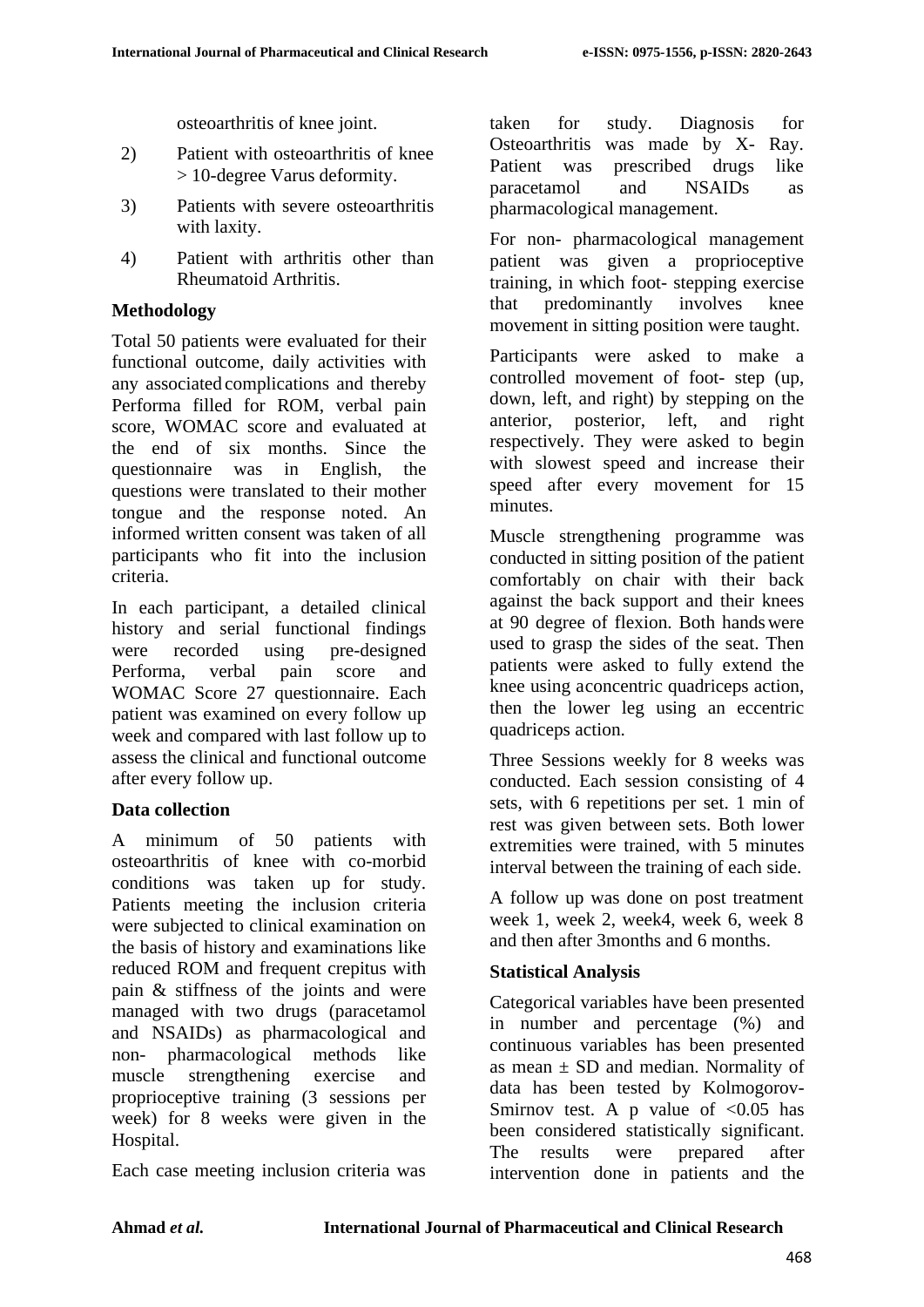osteoarthritis of knee joint.

- 2) Patient with osteoarthritis of knee > 10-degree Varus deformity.
- 3) Patients with severe osteoarthritis with laxity.
- 4) Patient with arthritis other than Rheumatoid Arthritis.

## **Methodology**

Total 50 patients were evaluated for their functional outcome, daily activities with any associated complications and thereby Performa filled for ROM, verbal pain score, WOMAC score and evaluated at the end of six months. Since the questionnaire was in English, the questions were translated to their mother tongue and the response noted. An informed written consent was taken of all participants who fit into the inclusion criteria.

In each participant, a detailed clinical history and serial functional findings were recorded using pre-designed Performa, verbal pain score and WOMAC Score 27 questionnaire. Each patient was examined on every follow up week and compared with last follow up to assess the clinical and functional outcome after every follow up.

### **Data collection**

A minimum of 50 patients with osteoarthritis of knee with co-morbid conditions was taken up for study. Patients meeting the inclusion criteria were subjected to clinical examination on the basis of history and examinations like reduced ROM and frequent crepitus with pain & stiffness of the joints and were managed with two drugs (paracetamol and NSAIDs) as pharmacological and non- pharmacological methods like muscle strengthening exercise and proprioceptive training (3 sessions per week) for 8 weeks were given in the Hospital.

Each case meeting inclusion criteria was

taken for study. Diagnosis for Osteoarthritis was made by X- Ray. Patient was prescribed drugs like paracetamol and NSAIDs as pharmacological management.

For non- pharmacological management patient was given a proprioceptive training, in which foot- stepping exercise that predominantly involves knee movement in sitting position were taught.

Participants were asked to make a controlled movement of foot- step (up, down, left, and right) by stepping on the anterior, posterior, left, and right respectively. They were asked to begin with slowest speed and increase their speed after every movement for 15 minutes.

Muscle strengthening programme was conducted in sitting position of the patient comfortably on chair with their back against the back support and their knees at 90 degree of flexion. Both handswere used to grasp the sides of the seat. Then patients were asked to fully extend the knee using aconcentric quadriceps action, then the lower leg using an eccentric quadriceps action.

Three Sessions weekly for 8 weeks was conducted. Each session consisting of 4 sets, with 6 repetitions per set. 1 min of rest was given between sets. Both lower extremities were trained, with 5 minutes interval between the training of each side.

A follow up was done on post treatment week 1, week 2, week4, week 6, week 8 and then after 3months and 6 months.

### **Statistical Analysis**

Categorical variables have been presented in number and percentage (%) and continuous variables has been presented as mean  $\pm$  SD and median. Normality of data has been tested by Kolmogorov-Smirnov test. A p value of  $< 0.05$  has been considered statistically significant. The results were prepared after intervention done in patients and the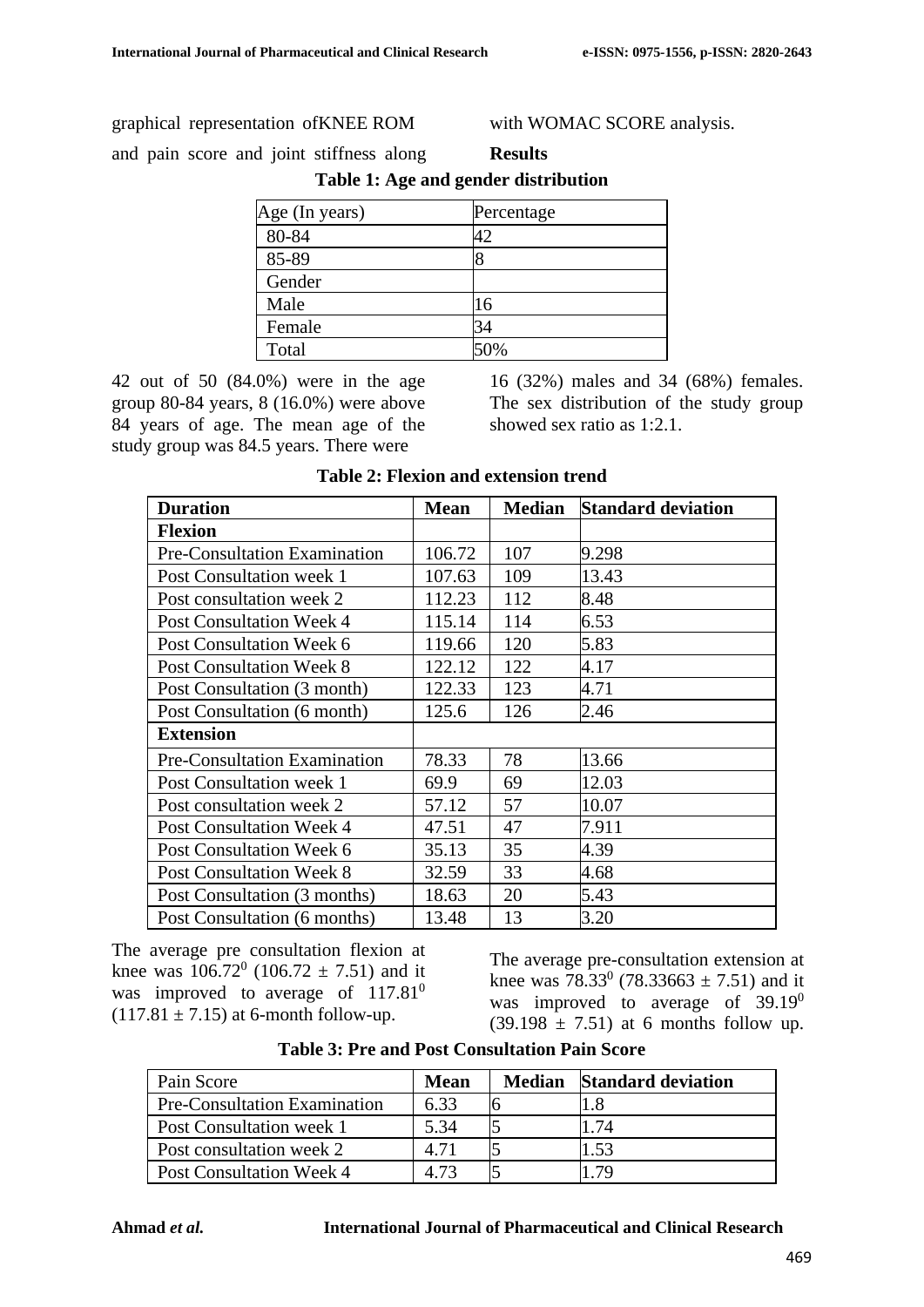#### graphical representation ofKNEE ROM

with WOMAC SCORE analysis.

and pain score and joint stiffness along

| Table 1: Age and gender distribution |            |  |  |
|--------------------------------------|------------|--|--|
| Age (In years)                       | Percentage |  |  |
| 80-84                                | 42         |  |  |
| 85-89                                | 8          |  |  |
| Gender                               |            |  |  |
| Male                                 | 16         |  |  |
| Female                               | 34         |  |  |
| Total                                |            |  |  |

**Results**

42 out of 50 (84.0%) were in the age group 80-84 years, 8 (16.0%) were above 84 years of age. The mean age of the study group was 84.5 years. There were

16 (32%) males and 34 (68%) females. The sex distribution of the study group showed sex ratio as 1:2.1.

| <b>Duration</b>                     | <b>Mean</b> | <b>Median</b> | <b>Standard deviation</b> |
|-------------------------------------|-------------|---------------|---------------------------|
| <b>Flexion</b>                      |             |               |                           |
| <b>Pre-Consultation Examination</b> | 106.72      | 107           | 9.298                     |
| Post Consultation week 1            | 107.63      | 109           | 13.43                     |
| Post consultation week 2            | 112.23      | 112           | 8.48                      |
| <b>Post Consultation Week 4</b>     | 115.14      | 114           | 6.53                      |
| Post Consultation Week 6            | 119.66      | 120           | 5.83                      |
| <b>Post Consultation Week 8</b>     | 122.12      | 122           | 4.17                      |
| Post Consultation (3 month)         | 122.33      | 123           | 4.71                      |
| Post Consultation (6 month)         | 125.6       | 126           | 2.46                      |
| <b>Extension</b>                    |             |               |                           |
| Pre-Consultation Examination        | 78.33       | 78            | 13.66                     |
| Post Consultation week 1            | 69.9        | 69            | 12.03                     |
| Post consultation week 2            | 57.12       | 57            | 10.07                     |
| <b>Post Consultation Week 4</b>     | 47.51       | 47            | 7.911                     |
| Post Consultation Week 6            | 35.13       | 35            | 4.39                      |
| <b>Post Consultation Week 8</b>     | 32.59       | 33            | 4.68                      |
| Post Consultation (3 months)        | 18.63       | 20            | 5.43                      |
| Post Consultation (6 months)        | 13.48       | 13            | 3.20                      |

#### **Table 2: Flexion and extension trend**

The average pre consultation flexion at knee was  $106.72^{\circ}$  (106.72  $\pm$  7.51) and it was improved to average of  $117.81^0$  $(117.81 \pm 7.15)$  at 6-month follow-up.

The average pre-consultation extension at knee was  $78.33^{\circ}$  (78.33663  $\pm$  7.51) and it was improved to average of  $39.19^0$  $(39.198 \pm 7.51)$  at 6 months follow up.

| Pain Score                          | <b>Mean</b> | <b>Median</b> | <b>Standard deviation</b> |
|-------------------------------------|-------------|---------------|---------------------------|
| <b>Pre-Consultation Examination</b> | 6.33        |               | 1.8                       |
| Post Consultation week 1            | 5.34        |               | 1.74                      |
| Post consultation week 2            | 4.71        |               | 1.53                      |
| <b>Post Consultation Week 4</b>     | 4 73        |               | 179                       |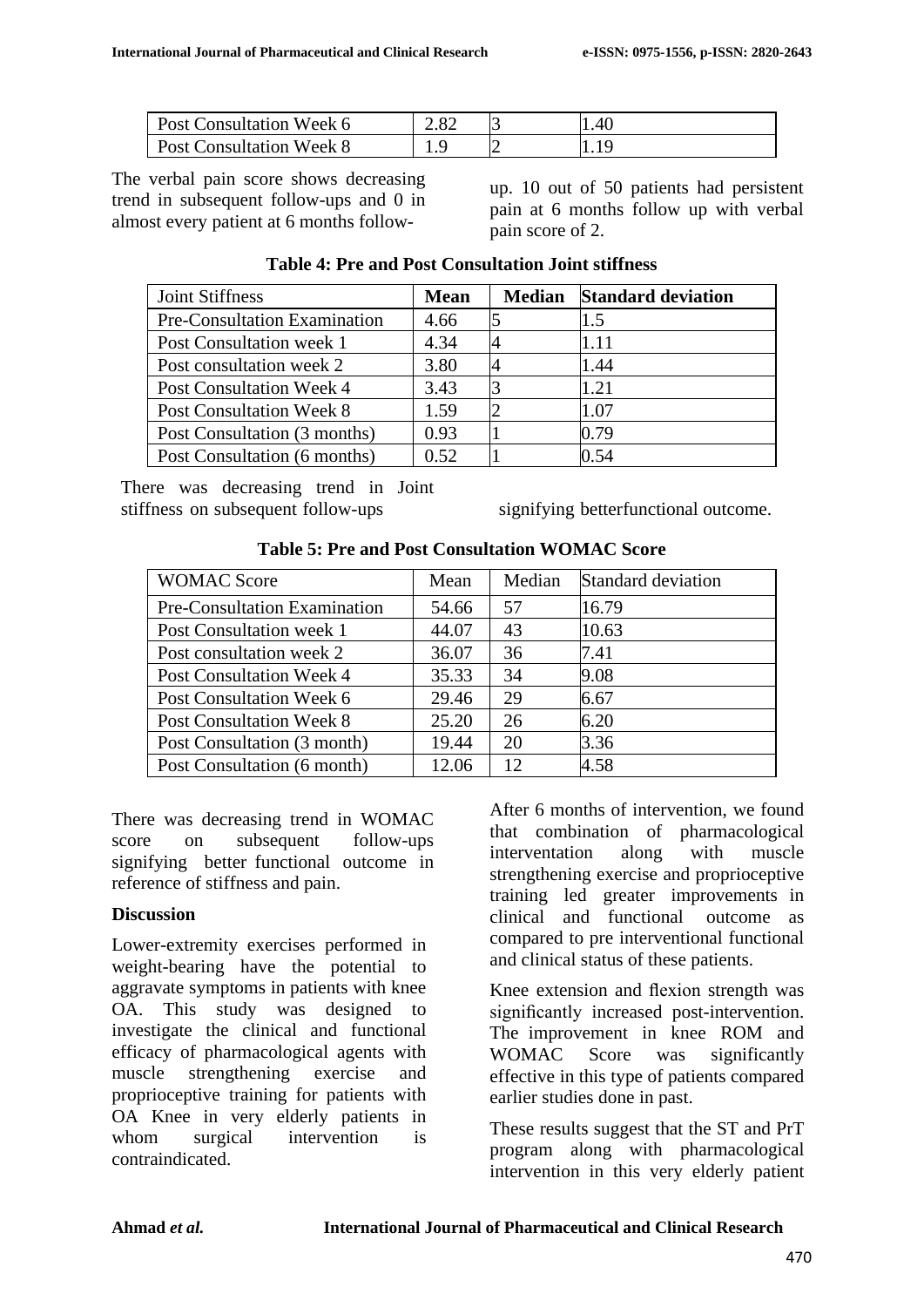| Post Consultation Week 6        | 2.82 | .40 |
|---------------------------------|------|-----|
| <b>Post Consultation Week 8</b> | .    | .   |

The verbal pain score shows decreasing trend in subsequent follow-ups and 0 in almost every patient at 6 months follow-

up. 10 out of 50 patients had persistent pain at 6 months follow up with verbal pain score of 2.

| <b>Joint Stiffness</b>          | <b>Mean</b> | <b>Median</b> Standard deviation |
|---------------------------------|-------------|----------------------------------|
| Pre-Consultation Examination    | 4.66        | 1.5                              |
| Post Consultation week 1        | 4.34        | 1.11                             |
| Post consultation week 2        | 3.80        | 1.44                             |
| Post Consultation Week 4        | 3.43        | 1.21                             |
| <b>Post Consultation Week 8</b> | 1.59        | 1.07                             |
| Post Consultation (3 months)    | 0.93        | 0.79                             |
| Post Consultation (6 months)    | 0.52        | 0.54                             |

#### **Table 4: Pre and Post Consultation Joint stiffness**

There was decreasing trend in Joint stiffness on subsequent follow-ups signifying betterfunctional outcome.

| <b>WOMAC Score</b>                  | Mean  | Median | Standard deviation |
|-------------------------------------|-------|--------|--------------------|
| <b>Pre-Consultation Examination</b> | 54.66 | 57     | 16.79              |
| Post Consultation week 1            | 44.07 | 43     | 10.63              |
| Post consultation week 2            | 36.07 | 36     | 7.41               |
| <b>Post Consultation Week 4</b>     | 35.33 | 34     | 9.08               |
| Post Consultation Week 6            | 29.46 | 29     | 6.67               |
| <b>Post Consultation Week 8</b>     | 25.20 | 26     | 6.20               |
| Post Consultation (3 month)         | 19.44 | 20     | 3.36               |
| Post Consultation (6 month)         | 12.06 | 12     | 4.58               |

**Table 5: Pre and Post Consultation WOMAC Score**

There was decreasing trend in WOMAC score on subsequent follow-ups signifying better functional outcome in reference of stiffness and pain.

### **Discussion**

Lower-extremity exercises performed in weight-bearing have the potential to aggravate symptoms in patients with knee OA. This study was designed to investigate the clinical and functional efficacy of pharmacological agents with muscle strengthening exercise and proprioceptive training for patients with OA Knee in very elderly patients in whom surgical intervention is contraindicated.

After 6 months of intervention, we found that combination of pharmacological interventation along with muscle strengthening exercise and proprioceptive training led greater improvements in clinical and functional outcome as compared to pre interventional functional and clinical status of these patients.

Knee extension and flexion strength was significantly increased post-intervention. The improvement in knee ROM and WOMAC Score was significantly effective in this type of patients compared earlier studies done in past.

These results suggest that the ST and PrT program along with pharmacological intervention in this very elderly patient